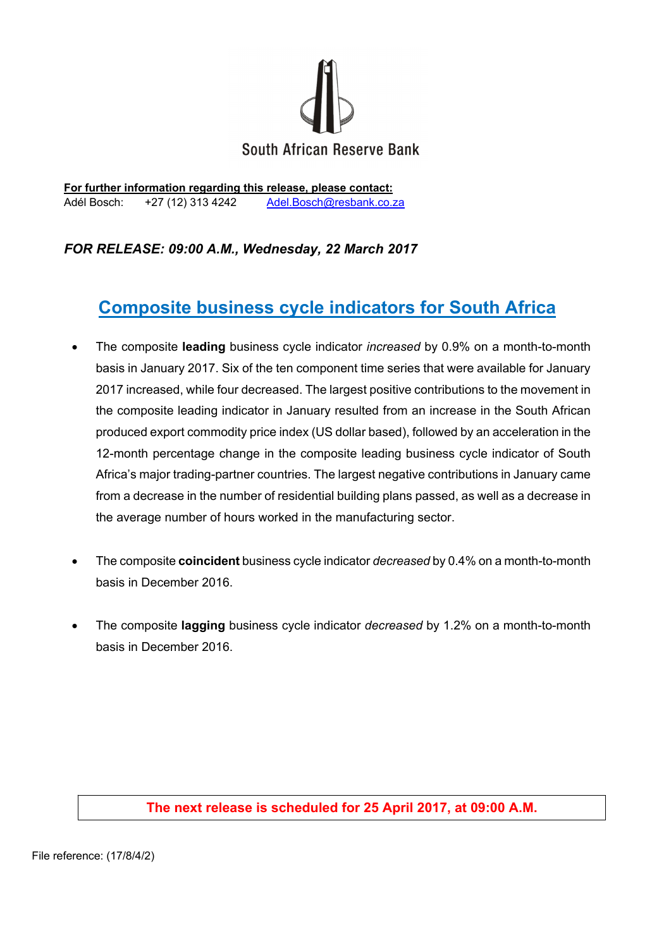

**For further information regarding this release, please contact:**  Adél Bosch: +27 (12) 313 4242 Adel.Bosch@resbank.co.za

## *FOR RELEASE: 09:00 A.M., Wednesday, 22 March 2017*

# **Composite business cycle indicators for South Africa**

- The composite **leading** business cycle indicator *increased* by 0.9% on a month-to-month basis in January 2017. Six of the ten component time series that were available for January 2017 increased, while four decreased. The largest positive contributions to the movement in the composite leading indicator in January resulted from an increase in the South African produced export commodity price index (US dollar based), followed by an acceleration in the 12-month percentage change in the composite leading business cycle indicator of South Africa's major trading-partner countries. The largest negative contributions in January came from a decrease in the number of residential building plans passed, as well as a decrease in the average number of hours worked in the manufacturing sector.
- The composite **coincident** business cycle indicator *decreased* by 0.4% on a month-to-month basis in December 2016.
- The composite **lagging** business cycle indicator *decreased* by 1.2% on a month-to-month basis in December 2016.

## **The next release is scheduled for 25 April 2017, at 09:00 A.M.**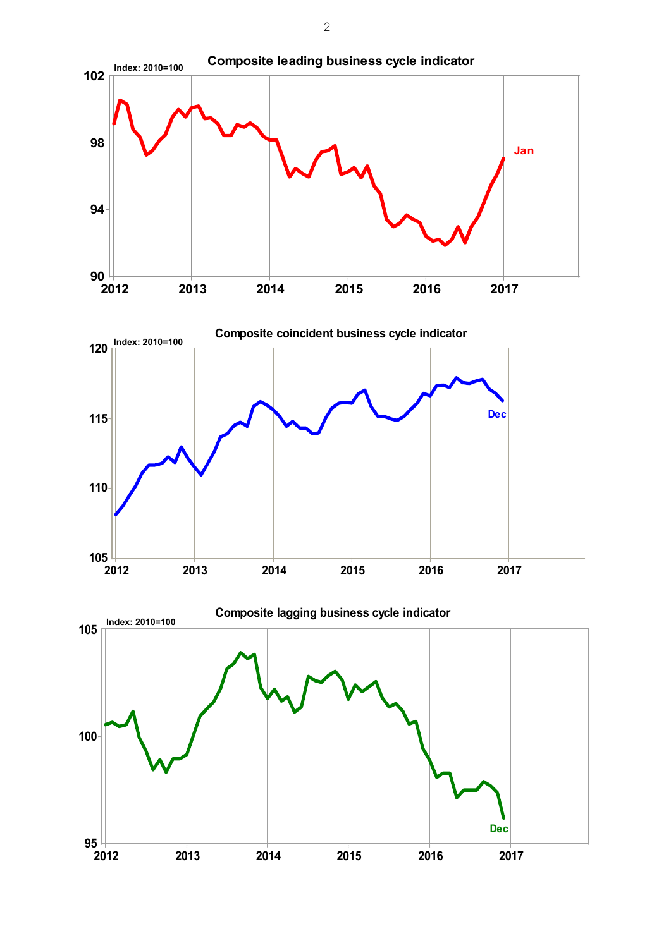